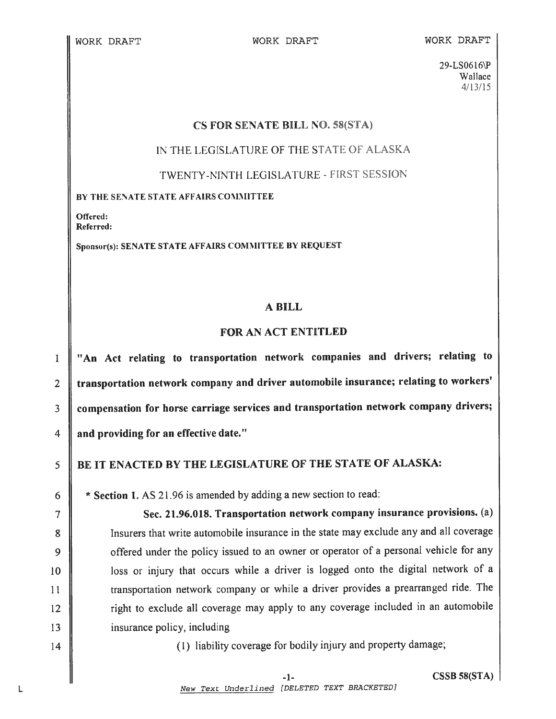#### WORK DRAFT WORK DRAFT WORK DRAFT

29-LS0616\P Wallace 4/13/15

## CS FOR SENATE BILL NO. 58(STA)

IN THE LEGISLATURE OF THE STATE OF ALASKA

TWENTY-NINTH LEGISLATURE - FIRST SESSION

BY THE SENATE STATE AFFAIRS COMMITTEE

Offered: Referred:

Sponsor(s): SENATE STATE AFFAIRS COMMITTEE BY REQUEST

# A BILL

# FOR AN ACT ENTITLED

<sup>1</sup> "An Act relating to transportation network companies and drivers; relating to 2 transportation network company and driver automobile insurance; relating to workers' 3 | compensation for horse carriage services and transportation network company drivers; 4 and providing for an effective date."

BE IT ENACTED BY THE LEGISLATURE OF THE STATE OF ALASKA:

6  $\parallel$  \* Section 1. AS 21.96 is amended by adding a new section to read:

7 || Sec. 21.96.018. Transportation network company insurance provisions. (a) 8 || Insurers that write automobile insurance in the state may exclude any and all coverage 9 | offered under the policy issued to an owner or operator of a personal vehicle for any 10 || loss or injury that occurs while a driver is logged onto the digital network of a 11 | transportation network company or while a driver provides a prearranged ride. The 12 || right to exclude all coverage may apply to any coverage included in an automobile 13 | insurance policy, including

14 || (1) liability coverage for bodily injury and property damage;

L

 $\overline{5}$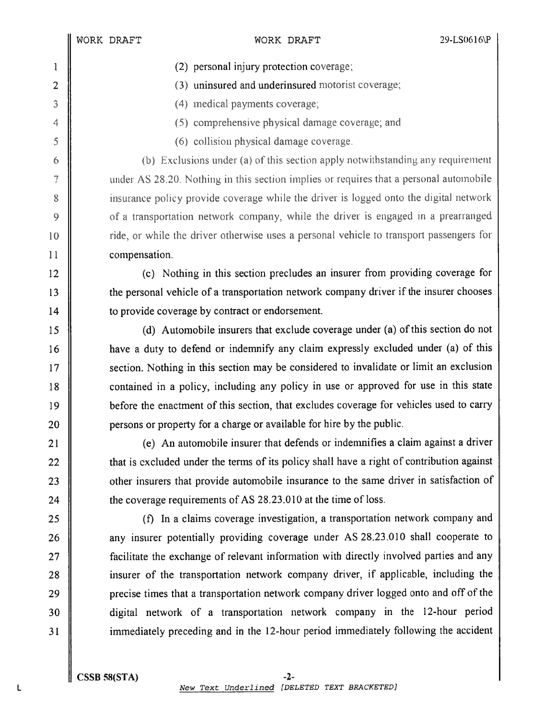- 1 (2) personal injury protection coverage;
- 2 (3) uninsured and underinsured motorist coverage;
- 3 (4) medical payments coverage,
- 4 (5) comprehensive physical damage coverage; and
- <sup>5</sup> (6) collision <sup>p</sup>hysical damage coverage.

6  $\parallel$  (b) Exclusions under (a) of this section apply notwithstanding any requirement  $7 \parallel$  under AS 28.20. Nothing in this section implies or requires that a personal automobile 8 insurance policy provide coverage while the driver is logged onto the digital network 9 | of a transportation network company, while the driver is engaged in a prearranged 10 **i** ride, or while the driver otherwise uses a personal vehicle to transport passengers for 11 compensation.

<sup>12</sup> (c) Nothing in this section precludes an insurer from providing coverage for 13 the personal vehicle of a transportation network company driver if the insurer chooses 14 **u** to provide coverage by contract or endorsement.

 (d) Automobile insurers that exclude coverage under (a) of this section do not have <sup>a</sup> duty to defend or indemnify any claim expressly excluded under (a) of this 17 || section. Nothing in this section may be considered to invalidate or limit an exclusion **contained in a policy, including any policy in use or approved for use in this state before the enactment of this section, that excludes coverage for vehicles used to carry persons or property for a charge or available for hire by the public.** 

 $\parallel$  (e) An automobile insurer that defends or indemnifies a claim against a driver **that is excluded under the terms of its policy shall have a right of contribution against ||** other insurers that provide automobile insurance to the same driver in satisfaction of **the coverage requirements of AS 28.23.010 at the time of loss.** 

 (f) In <sup>a</sup> claims coverage investigation, <sup>a</sup> transportation network company and **a** any insurer potentially providing coverage under AS 28.23.010 shall cooperate to 27 || facilitate the exchange of relevant information with directly involved parties and any || insurer of the transportation network company driver, if applicable, including the **precise times that a transportation network company driver logged onto and off of the**  digital network of <sup>a</sup> transportation network company in the 12-hour period 31 immediately preceding and in the 12-hour period immediately following the accident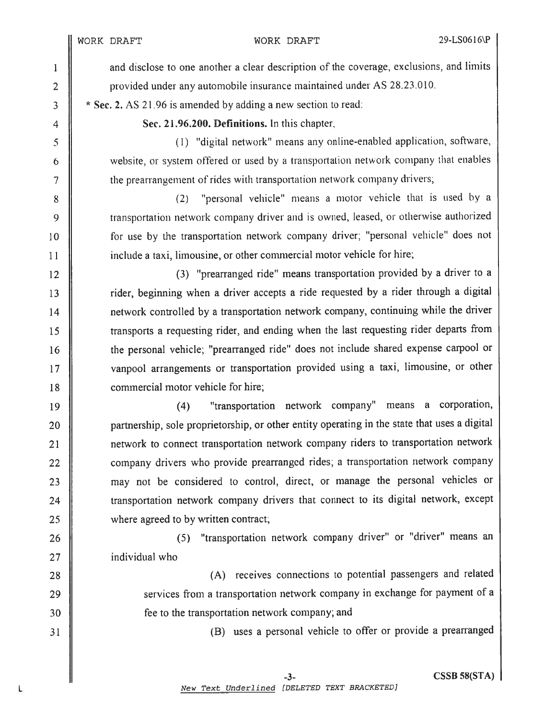1 | and disclose to one another a clear description of the coverage, exclusions, and limits 2 **b** provided under any automobile insurance maintained under AS 28.23.010.

 $\frac{3}{1}$  \* Sec. 2. AS 21.96 is amended by adding a new section to read:

4  $\parallel$  Sec. 21,96,200. Definitions. In this chapter,

5 (1) "digital network" means any online-enabled application, software, 6 || website, or system offered or used by a transportation network company that enables  $7 \parallel$  the prearrangement of rides with transportation network company drivers,

8 || (2) "personal vehicle" means a motor vehicle that is used by a 9 **transportation network company driver and is owned, leased, or otherwise authorized** 10 | for use by the transportation network company driver; "personal vehicle" does not 11 **include a taxi, limousine, or other commercial motor vehicle for hire;** 

12 || (3) "prearranged ride" means transportation provided by a driver to a 13 || rider, beginning when a driver accepts a ride requested by a rider through a digital 14 | network controlled by a transportation network company, continuing while the driver <sup>15</sup> transports <sup>a</sup> requesting rider, and ending when the last requesting rider departs from 16 | the personal vehicle; "prearranged ride" does not include shared expense carpool or 17 || vanpool arrangements or transportation provided using a taxi, limousine, or other 18 **lack** commercial motor vehicle for hire;

<sup>19</sup> (4) "transportation network company" means <sup>a</sup> corporation, 20 || partnership, sole proprietorship, or other entity operating in the state that uses a digital 21 || network to connect transportation network company riders to transportation network 22 || company drivers who provide prearranged rides; a transportation network company 23 || may not be considered to control, direct, or manage the personal vehicles or 24 **transportation network company drivers that connect to its digital network, except** 25 where agreed to by written contract;

26 || (5) "transportation network company driver" or "driver" means an 27 **i** individual who

28 **(A)** receives connections to potential passengers and related 29 || services from a transportation network company in exchange for payment of a 30 || fee to the transportation network company; and

<sup>31</sup> (B) uses <sup>a</sup> persona<sup>l</sup> vehicle to offer or provide <sup>a</sup> prearrange<sup>d</sup>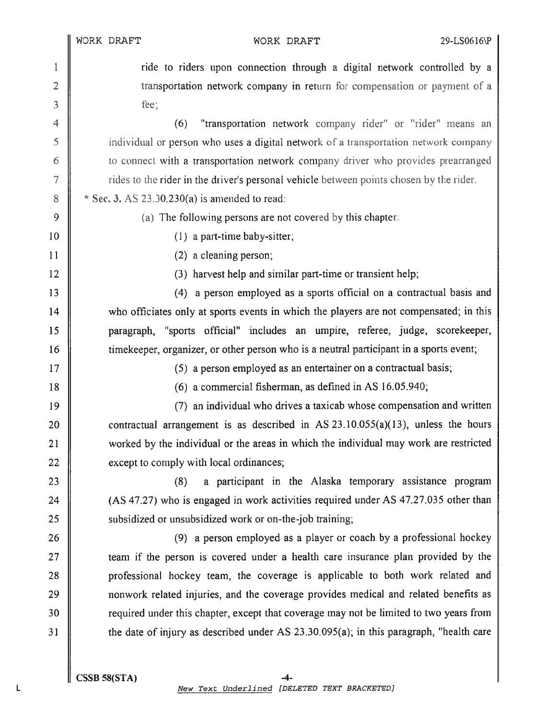1 || 2 transportation network company in return for compensation or payment of a  $3 \parallel$  fee;

4 || (6) "transportation network company rider" or "rider" means an 5 **i** individual or person who uses a digital network of a transportation network company 6 **the connect with a transportation network company driver who provides prearranged**  $7 \parallel$  rides to the rider in the driver's personal vehicle between points chosen by the rider.

8  $\parallel$  \* Sec. 3. AS 23,30,230(a) is amended to read:

# 9  $\parallel$  (a) The following persons are not covered by this chapter:

 $10 \parallel$  (1) a part-time baby-sitter;

11 | (2) a cleaning person;

12 || (3) harvest help and similar part-time or transient help;

13 || (4) a person employed as a sports official on a contractual basis and 14 who officiates only at sports events in which the players are not compensated; in this 15 paragraph, "sports official" includes an umpire, referee, judge, scorekeeper, 16 time keeper, organizer, or other person who is a neutral participant in a sports event;

17 || (5) a person employed as an entertainer on a contractual basis;

18 || (6) a commercial fisherman, as defined in AS 16.05.940;

 $\parallel$  [9]  $\parallel$  (7) an individual who drives a taxicab whose compensation and written 20 contractual arrangement is as described in AS  $23.10.055(a)(13)$ , unless the hours 21 worked by the individual or the areas in which the individual may work are restricted except to comply with local ordinances;

23 || (8) a participant in the Alaska temporary assistance program 24  $\parallel$  (AS 47.27) who is engaged in work activities required under AS 47.27.035 other than 25 **S** subsidized or unsubsidized work or on-the-job training;

26 || (9) a person employed as a player or coach by a professional hockey **team** if the person is covered under a health care insurance plan provided by the **professional hockey team, the coverage is applicable to both work related and n** nonwork related injuries, and the coverage provides medical and related benefits as 30 || required under this chapter, except that coverage may not be limited to two years from the date of injury as described under AS 23.30.095(a); in this paragraph, "health care

22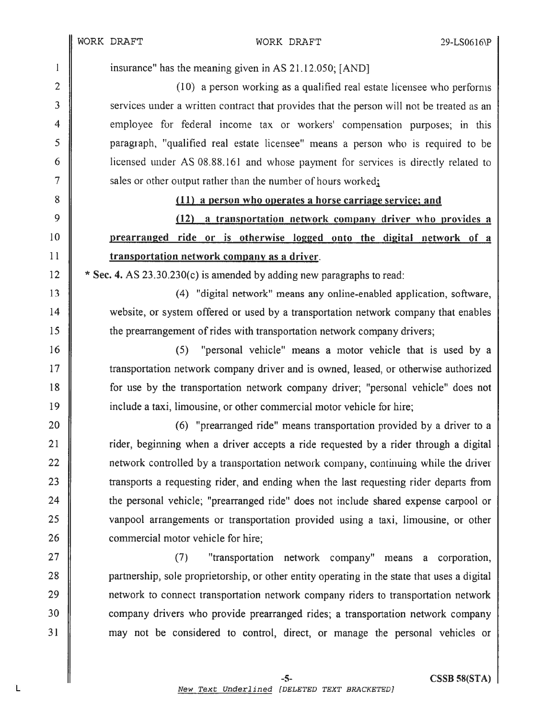$\mathbf{I}$  $\overline{2}$ 

3

 $\overline{4}$ 

5

6

 $\overline{7}$ 

8

9

10

 $11$ 

12

13

14

15

16

 $17$ 

18

19

20

 $21$ 

22

23

24

25

26 27

28

29

30

 $31$ 

#### WORK DRAFT

insurance" has the meaning given in AS 21.12.050; [AND]

(10) a person working as a qualified real estate licensee who performs services under a written contract that provides that the person will not be treated as an employee for federal income tax or workers' compensation purposes; in this paragraph, "qualified real estate licensee" means a person who is required to be licensed under AS 08.88.161 and whose payment for services is directly related to sales or other output rather than the number of hours worked;

### (11) a person who operates a horse carriage service; and

(12) a transportation network company driver who provides a prearranged ride or is otherwise logged onto the digital network of a transportation network company as a driver.

\* Sec. 4. AS 23.30.230(c) is amended by adding new paragraphs to read:

(4) "digital network" means any online-enabled application, software, website, or system offered or used by a transportation network company that enables the prearrangement of rides with transportation network company drivers;

"personal vehicle" means a motor vehicle that is used by a  $(5)$ transportation network company driver and is owned, leased, or otherwise authorized for use by the transportation network company driver; "personal vehicle" does not include a taxi, limousine, or other commercial motor vehicle for hire;

(6) "prearranged ride" means transportation provided by a driver to a rider, beginning when a driver accepts a ride requested by a rider through a digital network controlled by a transportation network company, continuing while the driver transports a requesting rider, and ending when the last requesting rider departs from the personal vehicle; "prearranged ride" does not include shared expense carpool or vanpool arrangements or transportation provided using a taxi, limousine, or other commercial motor vehicle for hire;

 $(7)$ "transportation network company" means a corporation, partnership, sole proprietorship, or other entity operating in the state that uses a digital network to connect transportation network company riders to transportation network company drivers who provide prearranged rides; a transportation network company may not be considered to control, direct, or manage the personal vehicles or

 $-5-$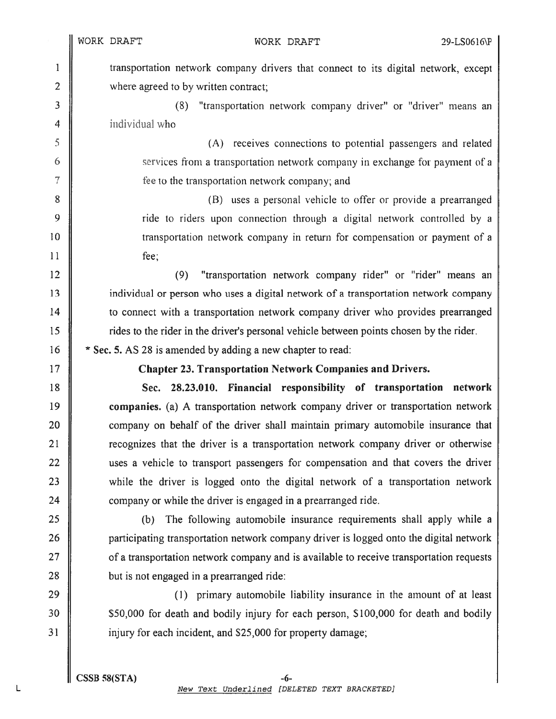<sup>I</sup> transportation network company drivers that connect to its digital network, excep<sup>t</sup> 2 where agreed to by written contract;

3 (8) "transportation network company driver" or "driver" means an 4 **i** individual who

<sup>5</sup> (A) receives connections to potential passengers and related 6 services from <sup>a</sup> transportation network company in exchange for paymen<sup>t</sup> of <sup>a</sup> 7 **f**  $\parallel$  fee to the transportation network company; and

 (B) uses <sup>a</sup> personal vehicle to offer or provide <sup>a</sup> prearranged **9** ride to riders upon connection through a digital network controlled by a **I** transportation network company in return for compensation or payment of a 11 fee;

 (9) "transportation network company rider" or "rider" means an individual or person who uses <sup>a</sup> digital network of <sup>a</sup> transportation network company **to connect with a transportation network company driver who provides prearranged** rides to the rider in the driver's personal vehicle between points chosen by the rider.

16  $\parallel$  \* Sec. 5. AS 28 is amended by adding a new chapter to read:

<sup>17</sup> Chapter 23. Transportation Network Companies and Drivers.

 Sec. 28.23.010. Financial responsibility of transportation network companies. (a) A transportation network company driver or transportation network 20 company on behalf of the driver shall maintain primary automobile insurance that **Telephone** is a transportation network company driver or otherwise .  $\parallel$  uses a vehicle to transport passengers for compensation and that covers the driver 23 while the driver is logged onto the digital network of a transportation network **company or while the driver is engaged in a prearranged ride.** 

 (b) The following automobile insurance requirements shall apply while <sup>a</sup> **participating transportation network company driver is logged onto the digital network**  $27 \parallel$  of a transportation network company and is available to receive transportation requests || but is not engaged in a prearranged ride:

 $29$  ||  $\Box$  (1) primary automobile liability insurance in the amount of at least 30 **||** \$50,000 for death and bodily injury for each person, \$100,000 for death and bodily 31 injury for each incident, and \$25,000 for property damage;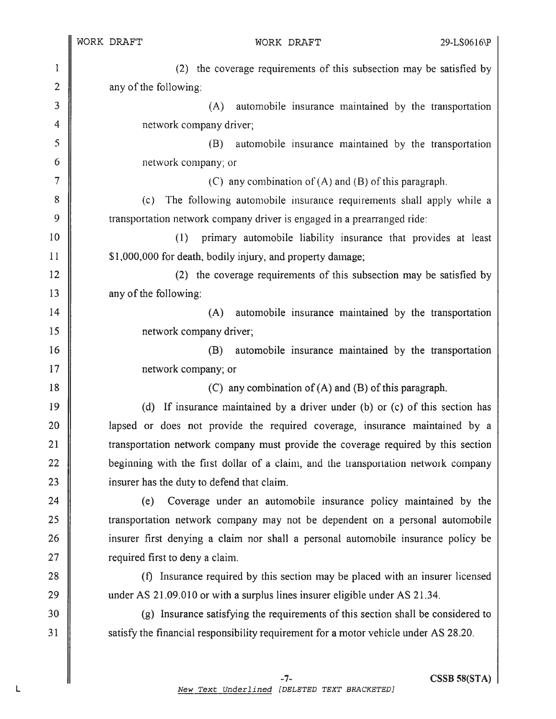$\parallel$ 

L

WORK DRAFT

| $\mathbf{1}$    | (2) the coverage requirements of this subsection may be satisfied by                 |
|-----------------|--------------------------------------------------------------------------------------|
| $\overline{2}$  | any of the following:                                                                |
| 3               | (A)<br>automobile insurance maintained by the transportation                         |
| $\overline{4}$  | network company driver;                                                              |
| 5               | automobile insurance maintained by the transportation<br>(B)                         |
| 6               | network company; or                                                                  |
| $\overline{7}$  | (C) any combination of $(A)$ and $(B)$ of this paragraph.                            |
| 8               | The following automobile insurance requirements shall apply while a<br>(c)           |
| 9               | transportation network company driver is engaged in a prearranged ride:              |
| 10              | (1)<br>primary automobile liability insurance that provides at least                 |
| 11              | \$1,000,000 for death, bodily injury, and property damage;                           |
| 12              | (2) the coverage requirements of this subsection may be satisfied by                 |
| 13              | any of the following:                                                                |
| 14              | (A)<br>automobile insurance maintained by the transportation                         |
| 15              | network company driver;                                                              |
| 16              | automobile insurance maintained by the transportation<br>(B)                         |
| 17              | network company; or                                                                  |
| 18              | (C) any combination of $(A)$ and $(B)$ of this paragraph.                            |
| 19              | (d) If insurance maintained by a driver under (b) or (c) of this section has         |
| 20              | lapsed or does not provide the required coverage, insurance maintained by a          |
| 21              | transportation network company must provide the coverage required by this section    |
| 22              | beginning with the first dollar of a claim, and the transportation network company   |
| 23              | insurer has the duty to defend that claim.                                           |
| 24              | Coverage under an automobile insurance policy maintained by the<br>(e)               |
| 25              | transportation network company may not be dependent on a personal automobile         |
| 26              | insurer first denying a claim nor shall a personal automobile insurance policy be    |
| 27              | required first to deny a claim.                                                      |
| 28              | (f) Insurance required by this section may be placed with an insurer licensed        |
| 29              | under AS 21.09.010 or with a surplus lines insurer eligible under AS 21.34.          |
| 30              | (g) Insurance satisfying the requirements of this section shall be considered to     |
| $\overline{31}$ | satisfy the financial responsibility requirement for a motor vehicle under AS 28.20. |
|                 |                                                                                      |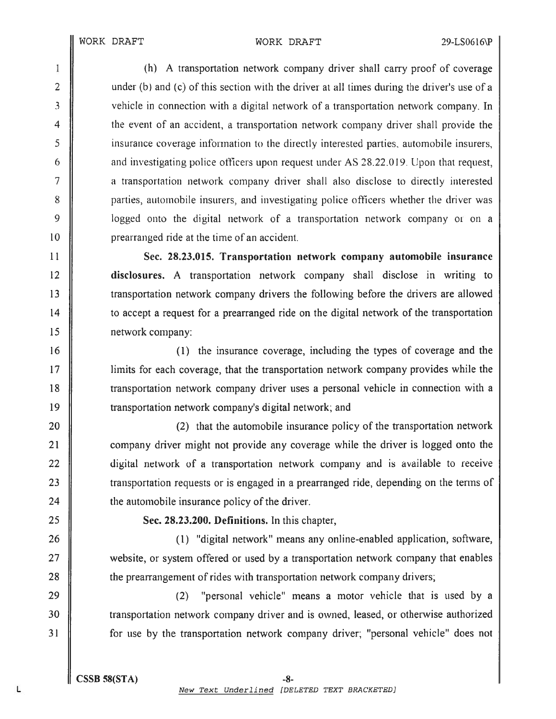#### WORK DRAFT WORK DRAFT 29-LS0616\P

 (h) A transportation network company driver shall carry proo<sup>f</sup> of coverage 2 || under (b) and (c) of this section with the driver at all times during the driver's use of a 3 vehicle in connection with a digital network of a transportation network company. In the event of an accident, <sup>a</sup> transportation network company driver shall provide the insurance coverage infbrrnation to the diiectiy interested parties. automobile insurers, **a** and investigating police officers upon request under AS 28.22.019. Upon that request, <sup>a</sup> transportation network company driver shall also disclose to directly interested **9** parties, automobile insurers, and investigating police officers whether the driver was **I** logged onto the digital network of a transportation network company or on a **prearianged ride at the time of an accident.** 

 Sec. 28.23.015. Transportation network company automobile insurance disclosures. A transportation network company shall disclose in writing to transportation network company drivers the following before the drivers are allowed to accep<sup>t</sup> <sup>a</sup> reques<sup>t</sup> for <sup>a</sup> prearranged ride on the digital network of the transportation network company:

 (1) the insurance coverage, including the types of coverage and the limits for each coverage, that the transportation network company provides while the transportation network company driver uses <sup>a</sup> personal vehicle in connection with <sup>a</sup> transportation network company's digital network; and

**(2)** that the automobile insurance policy of the transportation network **I** company driver might not provide any coverage while the driver is logged onto the  $\parallel$  digital network of a transportation network company and is available to receive **transportation requests or is engaged in a prearranged ride, depending on the terms of**  $\parallel$  the automobile insurance policy of the driver.

25 **Sec. 28.23.200. Definitions.** In this chapter,

26 **(i)** "digital network" means any online-enabled application, software, 27 website, or system offered or used by a transportation network company that enables 28 the prearrangement of rides with transportation network company drivers;

29 (2) "personal vehicle" means <sup>a</sup> motor vehicle that is used by <sup>a</sup> 30 transportation network company driver and is owned, leased, or otherwise authorized 31 **for use by the transportation network company driver**; "personal vehicle" does not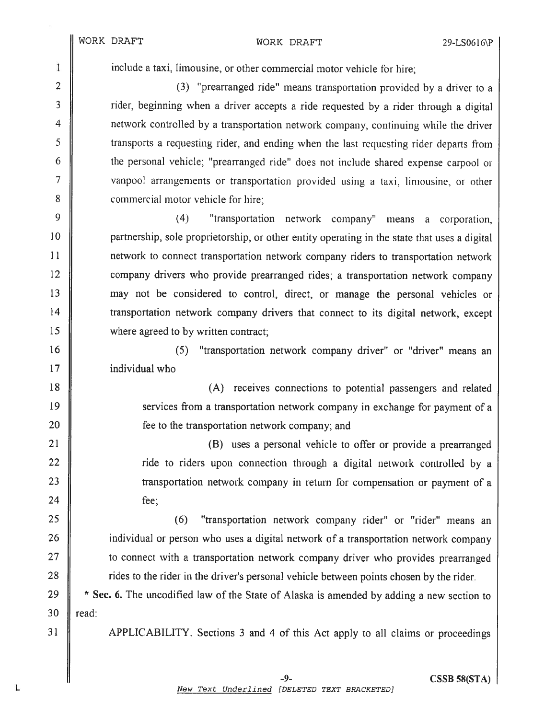#### WORK DRAFT WORK DRAFT 29-LS0616\P

1 include a taxi, limousine, or other commercial motor vehicle for hire;

2 || (3) "prearranged ride" means transportation provided by a driver to a 3 is a rider, beginning when a driver accepts a ride requested by a rider through a digital 4 **||** network controlled by a transportation network company, continuing while the driver <sup>5</sup> transports <sup>a</sup> requesting rider, and ending when the last requesting rider departs from <sup>6</sup> the persona<sup>l</sup> vehicle; 'prearranged ride' does not include shared expense carpoo<sup>l</sup> or 7 | vanpool arrangements or transportation provided using a taxi, limousine, or other 8 **8** commercial motor vehicle for hire;

 $9 \parallel$  (4) "transportation network company" means a corporation, **ight** partnership, sole proprietorship, or other entity operating in the state that uses a digital network to connect transportation network company riders to transportation network **company drivers** who provide prearranged rides; a transportation network company may not be considered to control, direct, or manage the persona<sup>l</sup> vehicles or transportation network company drivers that connect to its digital network, excep<sup>t</sup> 15 where agreed to by written contract;

16 || (5) "transportation network company driver" or "driver" means an 17 | individual who

18 || (A) receives connections to potential passengers and related 19 Services from a transportation network company in exchange for payment of a 20 **fee to the transportation network company; and** 

21 || 22 || ride to riders upon connection through a digital network controlled by a 23 || transportation network company in return for compensation or payment of a  $24$   $\parallel$  fee;

 (6) "transportation network company rider" or "rider" means an **ignor** 20 individual or person who uses a digital network of a transportation network company **to connect with a transportation network company driver who provides prearranged f** rides to the rider in the driver's personal vehicle between points chosen by the rider.

29  $\parallel$  \* Sec. 6. The uncodified law of the State of Alaska is amended by adding a new section to  $30$  read:

<sup>31</sup> APPLICABILITY. Sections <sup>3</sup> and <sup>4</sup> of this Act apply to all claims or proceedings

L